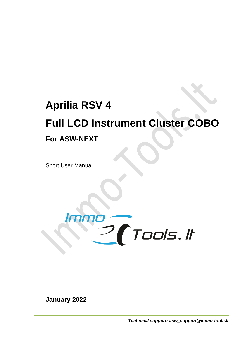# **Aprilia RSV 4**

# **Full LCD Instrument Cluster COBO**

## **For ASW-NEXT**

Short User Manual



**January 2022**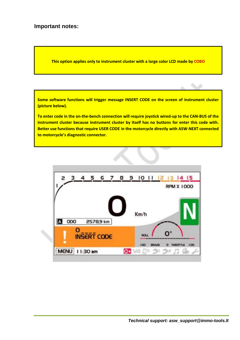#### **Important notes:**

**This option applies only to instrument cluster with a large color LCD made by COBO**

**Some software functions will trigger message INSERT CODE on the screen of instrument cluster (picture below).** 

**To enter code in the on-the-bench connection will require joystick wired-up to the CAN-BUS of the instrument cluster because instrument cluster by itself has no buttons for enter this code with. Better use functions that require USER CODE in the motorcycle directly with ASW-NEXT connected to motorcycle's diagnostic connector.**

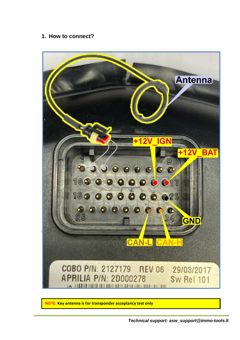#### **1. How to connect?**



**NOTE: Key antenna is for transponder acceptancy test only**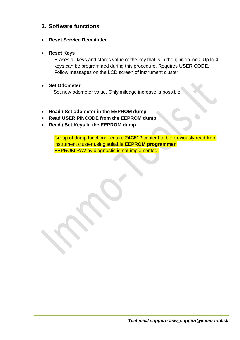### **2. Software functions**

• **Reset Service Remainder**

#### • **Reset Keys**

Erases all keys and stores value of the key that is in the ignition lock. Up to 4 keys can be programmed during this procedure. Requires **USER CODE.**  Follow messages on the LCD screen of instrument cluster.

#### • **Set Odometer**

Set new odometer value. Only mileage increase is possible!

- **Read / Set odometer in the EEPROM dump**
- **Read USER PINCODE from the EEPROM dump**
- **Read / Set Keys in the EEPROM dump**

Group of dump functions require **24C512** content to be previously read from instrument cluster using suitable **EEPROM programmer**. EEPROM R/W by diagnostic is not implemented.